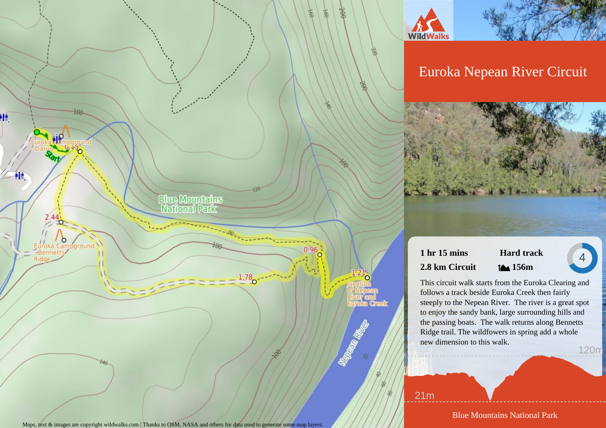

宝

 $\infty$ 

 $\frac{1}{286}$ 

齿

# Euroka Nepean River Circuit

# **1 hr 15 mins 2.8 km Circuit**



4

This circuit walk starts from the Euroka Clearing and follows a track beside Euroka Creek then fairly steeply to the Nepean River. The river is a great spot to enjoy the sandy bank, large surrounding hills and the passing boats. The walk returns along Bennetts Ridge trail. The wildfowers in spring add a whole new dimension to this walk. 120m

21m

Blue Mountains National Park

Maps, text & images are copyright wildwalks.com | Thanks to OSM, NASA and others for data used to generate some map layers.

**Blue Mountains**<br>**National Park** 

 $1.78$ 

PIT.

仲

round